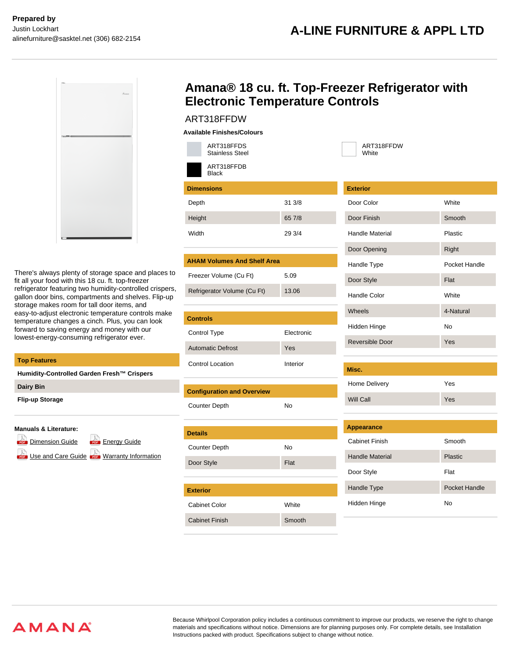ART318FFDW **White** 



There's always plenty of storage space and places to fit all your food with this 18 cu. ft. top-freezer refrigerator featuring two humidity-controlled crispers, gallon door bins, compartments and shelves. Flip-up storage makes room for tall door items, and easy-to-adjust electronic temperature controls make temperature changes a cinch. Plus, you can look forward to saving energy and money with our lowest-energy-consuming refrigerator ever.

### **Top Features**

**Humidity-Controlled Garden Fresh™ Crispers**

| <b>Dairy Bin</b> |  |
|------------------|--|
|------------------|--|

**Flip-up Storage**

### **Manuals & Literature:**

- **E** [Dimension Guide](https://api.whirlpoolcentral.ca/?action=tk_download&tk_service=brochure_document&tk_file=ART318FFDW_dimension_guide_en.pdf&tk_id=431-131814) **For [Energy Guide](https://api.whirlpoolcentral.ca/?action=tk_download&tk_service=brochure_document&tk_file=ART318FFDW_energy_guide_en.pdf&tk_id=431-131814)**
- 

[Use and Care Guide](https://api.whirlpoolcentral.ca/?action=tk_download&tk_service=brochure_document&tk_file=ART318FFDW_use_and_care_en.pdf&tk_id=431-131814) **Corp [Warranty Information](https://api.whirlpoolcentral.ca/?action=tk_download&tk_service=brochure_document&tk_file=ART318FFDW_warranty_en.pdf&tk_id=431-131814)** 

# **Amana® 18 cu. ft. Top-Freezer Refrigerator with Electronic Temperature Controls**

# ART318FFDW

| <b>Available Finishes/Colours</b> |
|-----------------------------------|
|-----------------------------------|

| ART318FFDS<br><b>Stainless Steel</b> |        |
|--------------------------------------|--------|
| ART318FFDB<br><b>Black</b>           |        |
| <b>Dimensions</b>                    |        |
| Depth                                | 31 3/8 |
| Height                               | 65 7/8 |
| Width                                | 29 3/4 |
|                                      |        |
| <b>AHAM Volumes And Shelf Area</b>   |        |
| Freezer Volume (Cu Ft)               | 5.09   |
| Refrigerator Volume (Cu Ft)          | 13.06  |

| <b>Controls</b>          |                   |
|--------------------------|-------------------|
| Control Type             | <b>Flectronic</b> |
| <b>Automatic Defrost</b> | Yes               |
| Control Location         | Interior          |

| <b>Configuration and Overview</b> |           |  |  |  |
|-----------------------------------|-----------|--|--|--|
| <b>Counter Depth</b>              | <b>No</b> |  |  |  |
|                                   |           |  |  |  |
| <b>Details</b>                    |           |  |  |  |
| <b>Counter Depth</b>              | No        |  |  |  |
| Door Style                        | Flat      |  |  |  |
|                                   |           |  |  |  |
| <b>Exterior</b>                   |           |  |  |  |
| Cabinet Color                     | White     |  |  |  |
| <b>Cabinet Finish</b>             | Smooth    |  |  |  |
|                                   |           |  |  |  |

| <b>Exterior</b>        |               |  |  |  |
|------------------------|---------------|--|--|--|
| Door Color             | White         |  |  |  |
| Door Finish            | Smooth        |  |  |  |
| <b>Handle Material</b> | Plastic       |  |  |  |
| Door Opening           | Right         |  |  |  |
| Handle Type            | Pocket Handle |  |  |  |
| Door Style             | Flat          |  |  |  |
| Handle Color           | White         |  |  |  |
| Wheels                 | 4-Natural     |  |  |  |
| Hidden Hinge<br>No     |               |  |  |  |
|                        |               |  |  |  |
| Reversible Door        | Yes           |  |  |  |
|                        |               |  |  |  |
| Misc.                  |               |  |  |  |
| Home Delivery          | Yes           |  |  |  |
| Will Call              | Yes           |  |  |  |
|                        |               |  |  |  |
| <b>Appearance</b>      |               |  |  |  |
| <b>Cabinet Finish</b>  | Smooth        |  |  |  |
| <b>Handle Material</b> | Plastic       |  |  |  |

Handle Type Pocket Handle

Hidden Hinge No

Because Whirlpool Corporation policy includes a continuous commitment to improve our products, we reserve the right to change materials and specifications without notice. Dimensions are for planning purposes only. For complete details, see Installation Instructions packed with product. Specifications subject to change without notice.